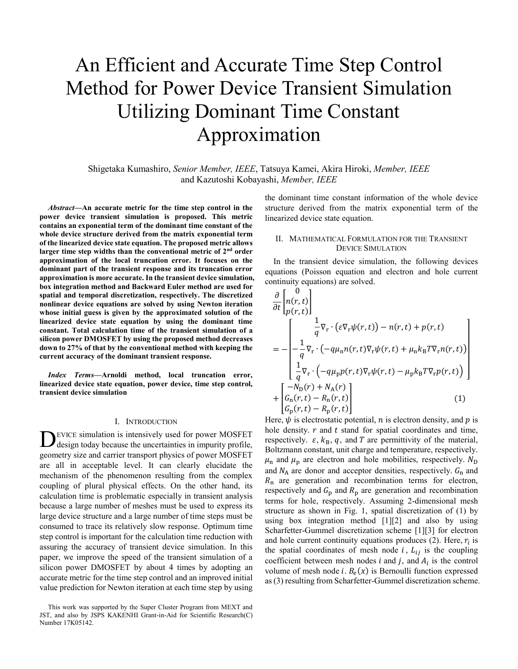# An Efficient and Accurate Time Step Control Method for Power Device Transient Simulation Utilizing Dominant Time Constant Approximation

Shigetaka Kumashiro, *Senior Member, IEEE*, Tatsuya Kamei, Akira Hiroki, *Member, IEEE* and Kazutoshi Kobayashi, *Member, IEEE*

*Abstract***—An accurate metric for the time step control in the power device transient simulation is proposed. This metric contains an exponential term of the dominant time constant of the whole device structure derived from the matrix exponential term of the linearized device state equation. The proposed metric allows larger time step widths than the conventional metric of 2nd order approximation of the local truncation error. It focuses on the dominant part of the transient response and its truncation error approximation is more accurate. In the transient device simulation, box integration method and Backward Euler method are used for spatial and temporal discretization, respectively. The discretized nonlinear device equations are solved by using Newton iteration whose initial guess is given by the approximated solution of the linearized device state equation by using the dominant time constant. Total calculation time of the transient simulation of a silicon power DMOSFET by using the proposed method decreases down to 27% of that by the conventional method with keeping the current accuracy of the dominant transient response.**

*Index Terms***—Arnoldi method, local truncation error, linearized device state equation, power device, time step control, transient device simulation**

## I. INTRODUCTION

**DEVICE** simulation is intensively used for power MOSFET design today because the uncertainties in impurity profile, design today because the uncertainties in impurity profile, geometry size and carrier transport physics of power MOSFET are all in acceptable level. It can clearly elucidate the mechanism of the phenomenon resulting from the complex coupling of plural physical effects. On the other hand, its calculation time is problematic especially in transient analysis because a large number of meshes must be used to express its large device structure and a large number of time steps must be consumed to trace its relatively slow response. Optimum time step control is important for the calculation time reduction with assuring the accuracy of transient device simulation. In this paper, we improve the speed of the transient simulation of a silicon power DMOSFET by about 4 times by adopting an accurate metric for the time step control and an improved initial value prediction for Newton iteration at each time step by using

the dominant time constant information of the whole device structure derived from the matrix exponential term of the linearized device state equation.

# II. MATHEMATICAL FORMULATION FOR THE TRANSIENT DEVICE SIMULATION

In the transient device simulation, the following devices equations (Poisson equation and electron and hole current continuity equations) are solved.

$$
\frac{\partial}{\partial t} \begin{bmatrix} 0 \\ n(r,t) \\ p(r,t) \end{bmatrix}
$$
\n
$$
= -\begin{bmatrix} \frac{1}{q} \nabla_{\mathbf{r}} \cdot (\varepsilon \nabla_{\mathbf{r}} \psi(r,t)) - n(r,t) + p(r,t) \\ -\frac{1}{q} \nabla_{\mathbf{r}} \cdot (-q\mu_{\mathbf{n}} n(r,t) \nabla_{\mathbf{r}} \psi(r,t) + \mu_{\mathbf{n}} k_{\mathbf{B}} T \nabla_{\mathbf{r}} n(r,t)) \\ \frac{1}{q} \nabla_{\mathbf{r}} \cdot (-q\mu_{\mathbf{p}} p(r,t) \nabla_{\mathbf{r}} \psi(r,t) - \mu_{\mathbf{p}} k_{\mathbf{B}} T \nabla_{\mathbf{r}} p(r,t)) \\ -N_{\mathbf{D}}(r) + N_{\mathbf{A}}(r) \\ G_{\mathbf{n}}(r,t) - R_{\mathbf{n}}(r,t) \end{bmatrix} (1)
$$

Here,  $\psi$  is electrostatic potential,  $\eta$  is electron density, and  $p$  is hole density.  $r$  and  $t$  stand for spatial coordinates and time, respectively.  $\varepsilon$ ,  $k_B$ , q, and T are permittivity of the material, Boltzmann constant, unit charge and temperature, respectively.  $\mu$ <sub>n</sub> and  $\mu$ <sub>p</sub> are electron and hole mobilities, respectively. N<sub>D</sub> and  $N_A$  are donor and acceptor densities, respectively.  $G_n$  and  $R_n$  are generation and recombination terms for electron, respectively and  $G_p$  and  $R_p$  are generation and recombination terms for hole, respectively. Assuming 2-dimensional mesh structure as shown in Fig. 1, spatial discretization of (1) by using box integration method [1][2] and also by using Scharfetter-Gummel discretization scheme [1][3] for electron and hole current continuity equations produces (2). Here,  $r_i$  is the spatial coordinates of mesh node  $i$ ,  $L_{ij}$  is the coupling coefficient between mesh nodes  $i$  and  $j$ , and  $A_i$  is the control volume of mesh node *i*.  $B_e(x)$  is Bernoulli function expressed as (3) resulting from Scharfetter-Gummel discretization scheme.

This work was supported by the Super Cluster Program from MEXT and JST, and also by JSPS KAKENHI Grant-in-Aid for Scientific Research(C) Number 17K05142.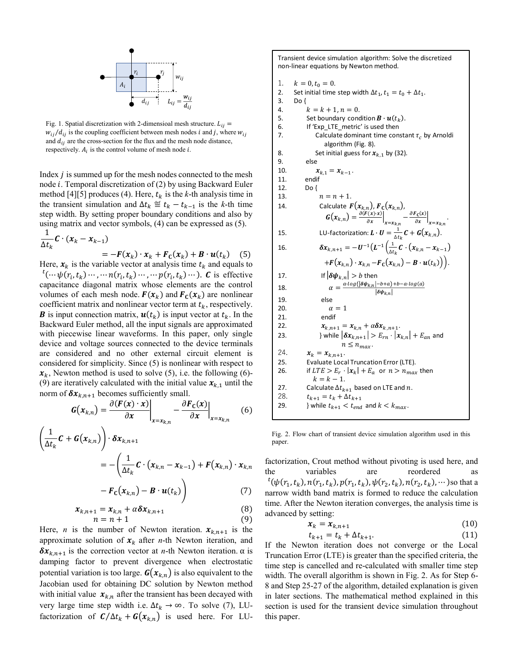

Fig. 1. Spatial discretization with 2-dimensioal mesh structure.  $L_{ij} =$  $w_{ij}/d_{ij}$  is the coupling coefficient between mesh nodes *i* and *j*, where  $w_{ij}$ and  $d_{ij}$  are the cross-section for the flux and the mesh node distance, respectively.  $A_i$  is the control volume of mesh node *i*.

Index  $j$  is summed up for the mesh nodes connected to the mesh node  $i$ . Temporal discretization of  $(2)$  by using Backward Euler method [4][5] produces (4). Here,  $t_k$  is the *k*-th analysis time in the transient simulation and  $\Delta t_k \stackrel{\text{def}}{=} t_k - t_{k-1}$  is the *k*-th time step width. By setting proper boundary conditions and also by using matrix and vector symbols, (4) can be expressed as (5).

$$
\frac{1}{\Delta t_k} \mathbf{C} \cdot (\mathbf{x}_k - \mathbf{x}_{k-1})
$$
\n
$$
= -\mathbf{F}(\mathbf{x}_k) \cdot \mathbf{x}_k + \mathbf{F}_c(\mathbf{x}_k) + \mathbf{R} \cdot \mathbf{u}(t_k)
$$

 $= -F(x_k) \cdot x_k + F_c(x_k) + B \cdot u(t_k)$  (5)

Here,  $x_k$  is the variable vector at analysis time  $t_k$  and equals to  ${}^{t}(\cdots \psi(r_i, t_k) \cdots, \cdots n(r_i, t_k) \cdots, \cdots p(r_i, t_k) \cdots)$ . C is effective capacitance diagonal matrix whose elements are the control volumes of each mesh node.  $F(x_k)$  and  $F_c(x_k)$  are nonlinear coefficient matrix and nonlinear vector term at  $t_k$ , respectively. **B** is input connection matrix,  $u(t_k)$  is input vector at  $t_k$ . In the Backward Euler method, all the input signals are approximated with piecewise linear waveforms. In this paper, only single device and voltage sources connected to the device terminals are considered and no other external circuit element is considered for simplicity. Since (5) is nonlinear with respect to  $x_k$ , Newton method is used to solve (5), i.e. the following (6)-(9) are iteratively calculated with the initial value  $x_{k,1}$  until the norm of  $\delta x_{k,n+1}$  becomes sufficiently small.

$$
G(x_{k,n}) = \frac{\partial (F(x) \cdot x)}{\partial x} \bigg|_{x = x_{k,n}} - \frac{\partial F_c(x)}{\partial x} \bigg|_{x = x_{k,n}} \quad (6)
$$

$$
C + G(x_{k,n}) \bigg) \cdot \delta x_{k,n+1}
$$

( 1  $\Delta t_k$ 

$$
= -\left(\frac{1}{\Delta t_k}\mathbf{C}\cdot\left(\mathbf{x}_{k,n}-\mathbf{x}_{k-1}\right)+\mathbf{F}\left(\mathbf{x}_{k,n}\right)\cdot\mathbf{x}_{k,n}\right)
$$

$$
-F_{\mathbf{C}}(x_{k,n})-B\cdot \boldsymbol{u}(t_k)\bigg) \qquad \qquad (7)
$$

$$
\begin{aligned} \mathbf{x}_{k,n+1} &= \mathbf{x}_{k,n} + \alpha \delta \mathbf{x}_{k,n+1} \\ n &= n+1 \end{aligned} \tag{8}
$$

Here, *n* is the number of Newton iteration.  $x_{k,n+1}$  is the approximate solution of  $x_k$  after *n*-th Newton iteration, and  $\delta x_{k,n+1}$  is the correction vector at *n*-th Newton iteration.  $\alpha$  is damping factor to prevent divergence when electrostatic potential variation is too large.  $G(x_{k,n})$  is also equivalent to the Jacobian used for obtaining DC solution by Newton method with initial value  $x_{k,n}$  after the transient has been decayed with very large time step width i.e.  $\Delta t_k \rightarrow \infty$ . To solve (7), LUfactorization of  $C/\Delta t_k + G(x_{k,n})$  is used here. For LU-

Transient device simulation algorithm: Solve the discretized non-linear equations by Newton method.

- 
- 1.  $k = 0, t_0 = 0.$ <br>2. Set initial time 2. Set initial time step width  $\Delta t_1$ ,  $t_1 = t_0 + \Delta t_1$ .
- 3. Do {
- 4.  $k = k + 1, n = 0.$
- 5. Set boundary condition  $\mathbf{B}\cdot\mathbf{u}(t_k)$ . 6. If 'Exp\_LTE\_metric' is used then
- 7. Calculate dominant time constant  $\tau_c$  by Arnoldi algorithm (Fig. 8).
- 8. Set initial guess for  $x_{k,1}$  by (32).<br>9. else
- 9. else
- 10.  $x_{k,1} = x_{k-1}$ .
- 11. endif
- 12. Do {
- 13.  $n = n + 1$ . 14. Calculate  $F(x_{k,n})$ ,  $F_c(x_{k,n})$ ,  $G(x_{k,n}) = \frac{\partial (F(x) \cdot x)}{\partial x}$  $\left.\frac{\partial F_{\mathcal{C}}(x) \cdot x}{\partial x}\right|_{x = x_{k,n}} - \frac{\partial F_{\mathcal{C}}(x)}{\partial x}$  $\frac{\partial}{\partial x}$ <sub>x=x<sub>k,n</sub></sub>

.

- 15. LU-factorization:  $\boldsymbol{L} \cdot \boldsymbol{U} = \frac{1}{\Delta t}$  $\frac{1}{\Delta t_k} C + G(x_{k,n}).$
- 16.  $\delta x_{k,n+1} = -U^{-1}\left(L^{-1}\left(\frac{1}{\delta t}\right)\right)$  $\frac{1}{\Delta t_k} C \cdot (x_{k,n} - x_{k-1})$  $+ F(x_{k,n}) \cdot x_{k,n} - F_c(x_{k,n}) - B \cdot u(t_k)$  ).
- 17. If  $|\delta \psi_{k,n}| > b$  then
- 18.  $\alpha = \frac{a \cdot \log(|\delta \psi_{k,n}| b + a) + b a}{|s_{k,n}|}$  $\delta\psi_{k,n}$ 19. else 20.  $\alpha = 1$
- 21. endif 22.  $x_{k,n+1} = x_{k,n} + \alpha \delta x_{k,n+1}.$
- 23. While  $|\delta x_{k,n+1}| > E_{rn} \cdot |x_{k,n}| + E_{an}$  and
- $n \leq n_{max}$ . 24.  $x_k = x_{k,n+1}.$ 25. Evaluate Local Truncation Error (LTE). 26. if  $LTE > E_r \cdot |x_k| + E_a$  or  $n > n_{max}$  then
- $k = k 1.$ 27. Calculate  $\Delta t_{k+1}$  based on LTE and n.<br>28.  $t_{k+1} = t_k + \Delta t_{k+1}$  $t_{k+1} = t_k + \Delta t_{k+1}$
- 29. While  $t_{k+1} < t_{end}$  and  $k < k_{max}$ .

Fig. 2. Flow chart of transient device simulation algorithm used in this paper.

factorization, Crout method without pivoting is used here, and the variables are reordered as  ${}^{t}(\psi(r_1, t_k), n(r_1, t_k), p(r_1, t_k), \psi(r_2, t_k), n(r_2, t_k), \cdots)$ so that a narrow width band matrix is formed to reduce the calculation time. After the Newton iteration converges, the analysis time is advanced by setting:

$$
x_k = x_{k,n+1} \tag{10}
$$

$$
t_{k+1} = t_k + \Delta t_{k+1}.\tag{11}
$$

If the Newton iteration does not converge or the Local Truncation Error (LTE) is greater than the specified criteria, the time step is cancelled and re-calculated with smaller time step width. The overall algorithm is shown in Fig. 2. As for Step 6- 8 and Step 25-27 of the algorithm, detailed explanation is given in later sections. The mathematical method explained in this section is used for the transient device simulation throughout this paper.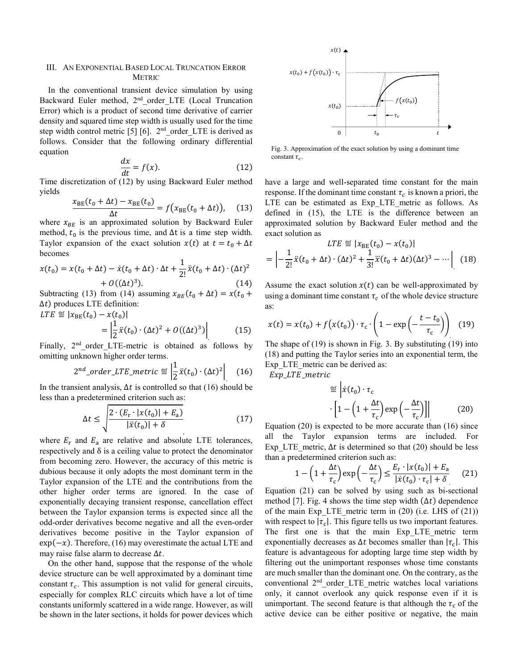# III. AN EXPONENTIAL BASED LOCAL TRUNCATION ERROR **METRIC**

In the conventional transient device simulation by using Backward Euler method, 2<sup>nd</sup> order LTE (Local Truncation Error) which is a product of second time derivative of carrier density and squared time step width is usually used for the time step width control metric [5] [6].  $2<sup>nd</sup>$  order LTE is derived as follows. Consider that the following ordinary differential equation

$$
\frac{dx}{dt} = f(x). \tag{12}
$$

Time discretization of (12) by using Backward Euler method yields

$$
\frac{x_{BE}(t_0 + \Delta t) - x_{BE}(t_0)}{\Delta t} = f(x_{BE}(t_0 + \Delta t)), \quad (13)
$$

where  $x_{BE}$  is an approximated solution by Backward Euler method,  $t_0$  is the previous time, and  $\Delta t$  is a time step width. Taylor expansion of the exact solution  $x(t)$  at  $t = t_0 + \Delta t$ becomes

$$
x(t_0) = x(t_0 + \Delta t) - \dot{x}(t_0 + \Delta t) \cdot \Delta t + \frac{1}{2!} \ddot{x}(t_0 + \Delta t) \cdot (\Delta t)^2
$$
  
+  $O((\Delta t)^3).$  (14)

Subtracting (13) from (14) assuming  $x_{BE}(t_0 + \Delta t) = x(t_0 +$  $\Delta t$ ) produces LTE definition:

$$
LTE \stackrel{\text{def}}{=} |x_{BE}(t_0) - x(t_0)|
$$
  
=  $\left| \frac{1}{2} \ddot{x}(t_0) \cdot (\Delta t)^2 + O((\Delta t)^3) \right|$  (15)

Finally, 2<sup>nd</sup> order LTE-metric is obtained as follows by omitting unknown higher order terms.

$$
2^{nd}\_order\_LTE\_metric \stackrel{\text{def}}{=} \left| \frac{1}{2} \ddot{x}(t_0) \cdot (\Delta t)^2 \right| \tag{16}
$$

In the transient analysis,  $\Delta t$  is controlled so that (16) should be less than a predetermined criterion such as:

$$
\Delta t \le \sqrt{\frac{2 \cdot (E_{\rm r} \cdot |x(t_0)| + E_{\rm a})}{|\ddot{x}(t_0)| + \delta}}
$$
(17)

where  $E_r$  and  $E_a$  are relative and absolute LTE tolerances, respectively and  $\delta$  is a ceiling value to protect the denominator from becoming zero. However, the accuracy of this metric is dubious because it only adopts the most dominant term in the Taylor expansion of the LTE and the contributions from the other higher order terms are ignored. In the case of exponentially decaying transient response, cancellation effect between the Taylor expansion terms is expected since all the odd-order derivatives become negative and all the even-order derivatives become positive in the Taylor expansion of  $exp(-x)$ . Therefore, (16) may overestimate the actual LTE and may raise false alarm to decrease  $\Delta t$ .

On the other hand, suppose that the response of the whole device structure can be well approximated by a dominant time constant  $\tau_c$ . This assumption is not valid for general circuits, especially for complex RLC circuits which have a lot of time constants uniformly scattered in a wide range. However, as will be shown in the later sections, it holds for power devices which



Fig. 3. Approximation of the exact solution by using a dominant time constant  $\tau_c$ .

have a large and well-separated time constant for the main response. If the dominant time constant  $\tau_c$  is known a priori, the LTE can be estimated as Exp LTE metric as follows. As defined in (15), the LTE is the difference between an approximated solution by Backward Euler method and the exact solution as

$$
LTE \stackrel{\text{def}}{=} |x_{BE}(t_0) - x(t_0)|
$$
  
=  $\left| -\frac{1}{2!} \ddot{x}(t_0 + \Delta t) \cdot (\Delta t)^2 + \frac{1}{3!} \ddot{x}(t_0 + \Delta t) (\Delta t)^3 - \dots \right|$  (18)

Assume the exact solution  $x(t)$  can be well-approximated by using a dominant time constant  $\tau_c$  of the whole device structure as:

$$
x(t) = x(t_0) + f(x(t_0)) \cdot \tau_c \cdot \left(1 - \exp\left(-\frac{t - t_0}{\tau_c}\right)\right)
$$
 (19)

The shape of (19) is shown in Fig. 3. By substituting (19) into (18) and putting the Taylor series into an exponential term, the Exp\_LTE\_metric can be derived as:

Exp\_LTE\_metric

$$
\stackrel{\text{def}}{=} \left| \dot{x}(t_0) \cdot \tau_c \right|
$$
  
\n
$$
\cdot \left[ 1 - \left( 1 + \frac{\Delta t}{\tau_c} \right) \exp\left( -\frac{\Delta t}{\tau_c} \right) \right] \right| \tag{20}
$$

Equation (20) is expected to be more accurate than (16) since all the Taylor expansion terms are included. For Exp\_LTE\_metric,  $\Delta t$  is determined so that (20) should be less than a predetermined criterion such as:

$$
1 - \left(1 + \frac{\Delta t}{\tau_c}\right) \exp\left(-\frac{\Delta t}{\tau_c}\right) \le \frac{E_r \cdot |x(t_0)| + E_a}{|x(t_0) \cdot \tau_c| + \delta} \tag{21}
$$

Equation (21) can be solved by using such as bi-sectional method [7]. Fig. 4 shows the time step width  $(\Delta t)$  dependence of the main Exp\_LTE\_metric term in (20) (i.e. LHS of (21)) with respect to  $|\tau_c|$ . This figure tells us two important features. The first one is that the main Exp LTE metric term exponentially decreases as  $\Delta t$  becomes smaller than  $|\tau_c|$ . This feature is advantageous for adopting large time step width by filtering out the unimportant responses whose time constants are much smaller than the dominant one. On the contrary, as the conventional 2<sup>nd</sup> order LTE metric watches local variations only, it cannot overlook any quick response even if it is unimportant. The second feature is that although the  $\tau_c$  of the active device can be either positive or negative, the main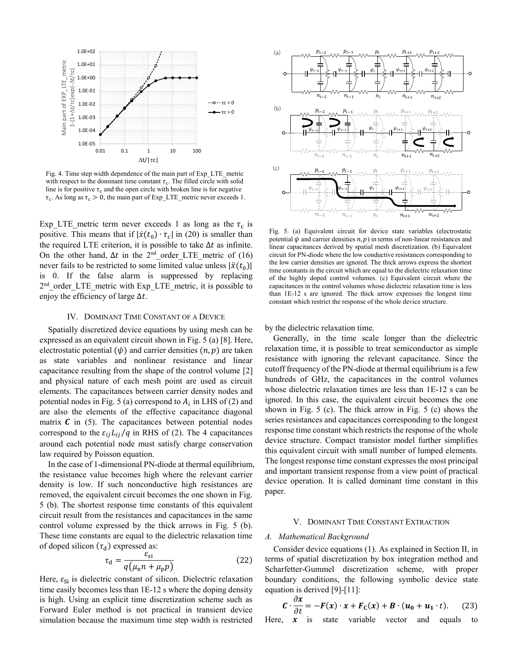

Fig. 4. Time step width dependence of the main part of Exp\_LTE\_metric with respect to the dominant time constant  $\tau_c$ . The filled circle with solid line is for positive  $\tau_c$  and the open circle with broken line is for negative  $\tau_c$ . As long as  $\tau_c > 0$ , the main part of Exp\_LTE\_metric never exceeds 1.

Exp\_LTE\_metric term never exceeds 1 as long as the  $\tau_c$  is positive. This means that if  $|\dot{x}(t_0) \cdot \tau_c|$  in (20) is smaller than the required LTE criterion, it is possible to take  $\Delta t$  as infinite. On the other hand,  $\Delta t$  in the 2<sup>nd</sup> order\_LTE\_metric of (16) never fails to be restricted to some limited value unless  $|\ddot{x}(t_0)|$ is 0. If the false alarm is suppressed by replacing 2<sup>nd</sup> order LTE metric with Exp LTE metric, it is possible to enjoy the efficiency of large  $\Delta t$ .

# IV. DOMINANT TIME CONSTANT OF A DEVICE

Spatially discretized device equations by using mesh can be expressed as an equivalent circuit shown in Fig. 5 (a) [8]. Here, electrostatic potential  $(\psi)$  and carrier densities  $(n, p)$  are taken as state variables and nonlinear resistance and linear capacitance resulting from the shape of the control volume [2] and physical nature of each mesh point are used as circuit elements. The capacitances between carrier density nodes and potential nodes in Fig. 5 (a) correspond to  $A_i$  in LHS of (2) and are also the elements of the effective capacitance diagonal matrix  $\boldsymbol{c}$  in (5). The capacitances between potential nodes correspond to the  $\varepsilon_{ij} L_{ij} / q$  in RHS of (2). The 4 capacitances around each potential node must satisfy charge conservation law required by Poisson equation.

In the case of 1-dimensional PN-diode at thermal equilibrium, the resistance value becomes high where the relevant carrier density is low. If such nonconductive high resistances are removed, the equivalent circuit becomes the one shown in Fig. 5 (b). The shortest response time constants of this equivalent circuit result from the resistances and capacitances in the same control volume expressed by the thick arrows in Fig. 5 (b). These time constants are equal to the dielectric relaxation time of doped silicon  $(\tau_d)$  expressed as:

$$
\tau_{\rm d} = \frac{\varepsilon_{\rm si}}{q(\mu_{\rm n}n + \mu_{\rm p}p)}\tag{22}
$$

Here,  $\varepsilon_{Si}$  is dielectric constant of silicon. Dielectric relaxation time easily becomes less than 1E-12 s where the doping density is high. Using an explicit time discretization scheme such as Forward Euler method is not practical in transient device simulation because the maximum time step width is restricted



Fig. 5. (a) Equivalent circuit for device state variables (electrostatic potential  $\psi$  and carrier densities  $n$ ,  $p$ ) in terms of non-linear resistances and linear capacitances derived by spatial mesh discretization. (b) Equivalent circuit for PN-diode where the low conductive resistances corresponding to the low carrier densities are ignored. The thick arrows express the shortest time constants in the circuit which are equal to the dielectric relaxation time of the highly doped control volumes. (c) Equivalent circuit where the capacitances in the control volumes whose dielectric relaxation time is less than 1E-12 s are ignored. The thick arrow expresses the longest time constant which restrict the response of the whole device structure.

by the dielectric relaxation time.

Generally, in the time scale longer than the dielectric relaxation time, it is possible to treat semiconductor as simple resistance with ignoring the relevant capacitance. Since the cutoff frequency of the PN-diode at thermal equilibrium is a few hundreds of GHz, the capacitances in the control volumes whose dielectric relaxation times are less than 1E-12 s can be ignored. In this case, the equivalent circuit becomes the one shown in Fig. 5 (c). The thick arrow in Fig. 5 (c) shows the series resistances and capacitances corresponding to the longest response time constant which restricts the response of the whole device structure. Compact transistor model further simplifies this equivalent circuit with small number of lumped elements. The longest response time constant expresses the most principal and important transient response from a view point of practical device operation. It is called dominant time constant in this paper.

## V. DOMINANT TIME CONSTANT EXTRACTION

### *A. Mathematical Background*

Consider device equations (1). As explained in Section II, in terms of spatial discretization by box integration method and Scharfetter-Gummel discretization scheme, with proper boundary conditions, the following symbolic device state equation is derived [9]-[11]:

$$
\mathcal{C} \cdot \frac{\partial x}{\partial t} = -F(x) \cdot x + F_{\mathcal{C}}(x) + \mathcal{B} \cdot (\mathbf{u}_0 + \mathbf{u}_1 \cdot t). \tag{23}
$$

Here,  $x$  is state variable vector and equals to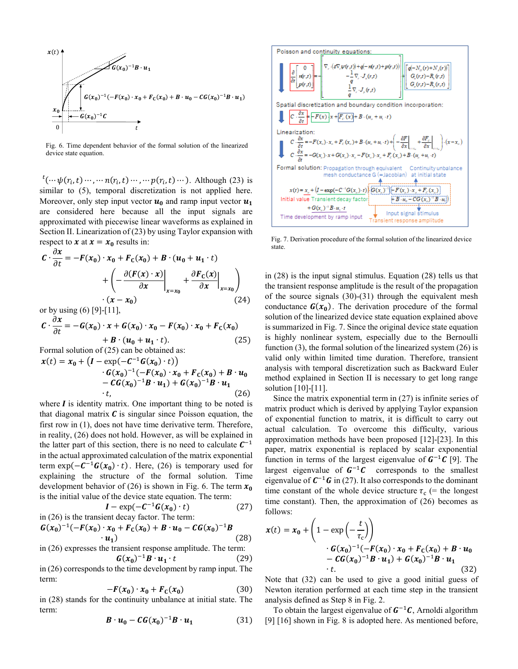

Fig. 6. Time dependent behavior of the formal solution of the linearized device state equation.

 ${}^{t}(\cdots \psi(r_i, t)\cdots, \cdots n(r_i, t)\cdots, \cdots p(r_i, t)\cdots)$ . Although (23) is similar to (5), temporal discretization is not applied here. Moreover, only step input vector  $u_0$  and ramp input vector  $u_1$ are considered here because all the input signals are approximated with piecewise linear waveforms as explained in Section II. Linearization of (23) by using Taylor expansion with respect to  $x$  at  $x = x_0$  results in:

$$
C \cdot \frac{\partial x}{\partial t} = -F(x_0) \cdot x_0 + F_C(x_0) + B \cdot (u_0 + u_1 \cdot t)
$$

$$
+ \left( -\frac{\partial (F(x) \cdot x)}{\partial x} \bigg|_{x=x_0} + \frac{\partial F_C(x)}{\partial x} \bigg|_{x=x_0} \right)
$$

$$
(x - x_0) \tag{24}
$$

or by using  $(6)$  [9]-[11],

 $\partial$ r

$$
C \cdot \frac{\partial x}{\partial t} = -G(x_0) \cdot x + G(x_0) \cdot x_0 - F(x_0) \cdot x_0 + F_C(x_0)
$$
  
+ 
$$
B \cdot (u_0 + u_1 \cdot t).
$$
 (25)

Formal solution of (25) can be obtained as:

$$
x(t) = x_0 + (I - \exp(-C^{-1}G(x_0) \cdot t))
$$
  
\n
$$
G(x_0)^{-1}(-F(x_0) \cdot x_0 + F_C(x_0) + B \cdot u_0 - CG(x_0)^{-1}B \cdot u_1) + G(x_0)^{-1}B \cdot u_1
$$
  
\n
$$
t, \qquad (26)
$$

where  $I$  is identity matrix. One important thing to be noted is that diagonal matrix  $\mathcal C$  is singular since Poisson equation, the first row in (1), does not have time derivative term. Therefore, in reality, (26) does not hold. However, as will be explained in the latter part of this section, there is no need to calculate  $C^{-1}$ in the actual approximated calculation of the matrix exponential term  $\exp(-\mathcal{C}^{-1}\mathcal{G}(x_0) \cdot t)$ . Here, (26) is temporary used for explaining the structure of the formal solution. Time development behavior of (26) is shown in Fig. 6. The term  $x_0$ is the initial value of the device state equation. The term:

$$
I - \exp(-C^{-1}G(x_0) \cdot t) \tag{27}
$$

in (26) is the transient decay factor. The term:

$$
G(x_0)^{-1}(-F(x_0) \cdot x_0 + F_c(x_0) + B \cdot u_0 - CG(x_0)^{-1}B
$$
  
 
$$
u_1)
$$
 (28)

in (26) expresses the transient response amplitude. The term:

$$
G(x_0)^{-1}B \cdot u_1 \cdot t \tag{29}
$$

in (26) corresponds to the time development by ramp input. The term:

$$
-F(x_0) \cdot x_0 + F_c(x_0) \tag{30}
$$

in (28) stands for the continuity unbalance at initial state. The term:

$$
\boldsymbol{B} \cdot \boldsymbol{u}_0 - \boldsymbol{C} \boldsymbol{G}(\boldsymbol{x}_0)^{-1} \boldsymbol{B} \cdot \boldsymbol{u}_1 \tag{31}
$$



Fig. 7. Derivation procedure of the formal solution of the linearized device state.

in (28) is the input signal stimulus. Equation (28) tells us that the transient response amplitude is the result of the propagation of the source signals (30)-(31) through the equivalent mesh conductance  $G(x_0)$ . The derivation procedure of the formal solution of the linearized device state equation explained above is summarized in Fig. 7. Since the original device state equation is highly nonlinear system, especially due to the Bernoulli function (3), the formal solution of the linearized system (26) is valid only within limited time duration. Therefore, transient analysis with temporal discretization such as Backward Euler method explained in Section II is necessary to get long range solution [10]-[11].

Since the matrix exponential term in (27) is infinite series of matrix product which is derived by applying Taylor expansion of exponential function to matrix, it is difficult to carry out actual calculation. To overcome this difficulty, various approximation methods have been proposed [12]-[23]. In this paper, matrix exponential is replaced by scalar exponential function in terms of the largest eigenvalue of  $G^{-1}C$  [9]. The largest eigenvalue of  $G^{-1}C$  corresponds to the smallest eigenvalue of  $C^{-1}$ G in (27). It also corresponds to the dominant time constant of the whole device structure  $\tau_c$  (= the longest time constant). Then, the approximation of (26) becomes as follows:

$$
x(t) = x_0 + \left(1 - \exp\left(-\frac{t}{\tau_c}\right)\right)
$$
  
 
$$
\cdot G(x_0)^{-1}(-F(x_0) \cdot x_0 + F_c(x_0) + B \cdot u_0 - CG(x_0)^{-1}B \cdot u_1) + G(x_0)^{-1}B \cdot u_1
$$
  
 
$$
\cdot t. \tag{32}
$$

Note that (32) can be used to give a good initial guess of Newton iteration performed at each time step in the transient analysis defined as Step 8 in Fig. 2.

To obtain the largest eigenvalue of  $G^{-1}C$ , Arnoldi algorithm [9] [16] shown in Fig. 8 is adopted here. As mentioned before,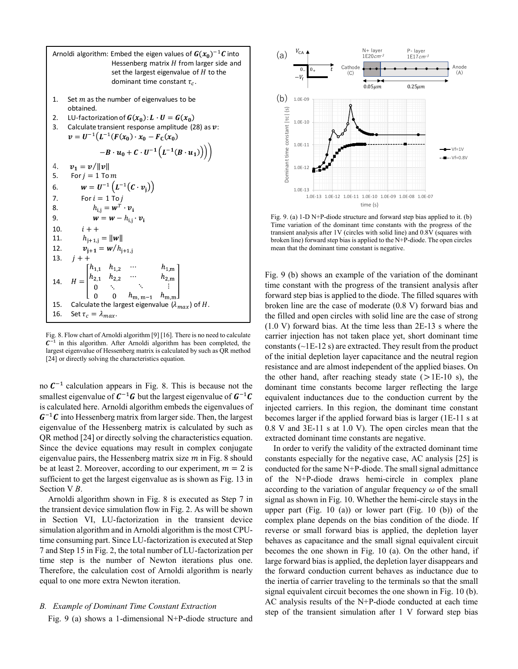| Arnoldi algorithm: Embed the eigen values of $G(x_0)^{-1}C$ into<br>Hessenberg matrix $H$ from larger side and<br>set the largest eigenvalue of $H$ to the<br>dominant time constant $\tau_c$ . |                                                                                                                                                                       |
|-------------------------------------------------------------------------------------------------------------------------------------------------------------------------------------------------|-----------------------------------------------------------------------------------------------------------------------------------------------------------------------|
| 1.                                                                                                                                                                                              | Set $m$ as the number of eigenvalues to be<br>obtained.                                                                                                               |
| 2.                                                                                                                                                                                              | LU-factorization of $G(x_0)$ : $L \cdot U = G(x_0)$                                                                                                                   |
| 3.                                                                                                                                                                                              | Calculate transient response amplitude (28) as $v$ :                                                                                                                  |
|                                                                                                                                                                                                 | $v = U^{-1} (L^{-1} (F(x_0) \cdot x_0 - F_C(x_0))$                                                                                                                    |
| $-B\cdot u_0+C\cdot U^{-1}(L^{-1}(B\cdot u_1))\Big)\Big)$                                                                                                                                       |                                                                                                                                                                       |
| 4.                                                                                                                                                                                              | $v_1 = v /   v  $                                                                                                                                                     |
|                                                                                                                                                                                                 | 5. For $j = 1$ To m                                                                                                                                                   |
| 6.                                                                                                                                                                                              | $w = U^{-1} (L^{-1}(C \cdot v_i))$                                                                                                                                    |
| 7.                                                                                                                                                                                              | For $i=1$ To $j$                                                                                                                                                      |
| 8.                                                                                                                                                                                              | $h_{i,j} = \boldsymbol{w}^T \cdot \boldsymbol{v}_i$                                                                                                                   |
| 9.                                                                                                                                                                                              | $w = w - h_{i,i} \cdot v_i$                                                                                                                                           |
| 10.                                                                                                                                                                                             | $i + +$                                                                                                                                                               |
| 11.                                                                                                                                                                                             | $h_{i+1,i} =   w  $                                                                                                                                                   |
| 12.                                                                                                                                                                                             | $v_{j+1} = w/h_{j+1,j}$                                                                                                                                               |
| 13.                                                                                                                                                                                             | $j + +$                                                                                                                                                               |
|                                                                                                                                                                                                 | 14. $H = \begin{bmatrix} h_{1,1} & h_{1,2} & \cdots & h_{1,m} \\ h_{2,1} & h_{2,2} & \cdots & h_{2,m} \\ 0 & \ddots & \ddots & \vdots \end{bmatrix}$<br>$n_{\rm m,m}$ |
|                                                                                                                                                                                                 | 15. Calculate the largest eigenvalue $(\lambda_{max})$ of H.                                                                                                          |
| 16.                                                                                                                                                                                             | Set $\tau_c = \lambda_{max}$ .                                                                                                                                        |

Fig. 8. Flow chart of Arnoldi algorithm [9] [16]. There is no need to calculate  $C^{-1}$  in this algorithm. After Arnoldi algorithm has been completed, the largest eigenvalue of Hessenberg matrix is calculated by such as QR method [24] or directly solving the characteristics equation.

no  $C^{-1}$  calculation appears in Fig. 8. This is because not the smallest eigenvalue of  $C^{-1}G$  but the largest eigenvalue of  $G^{-1}C$ is calculated here. Arnoldi algorithm embeds the eigenvalues of  $G^{-1}C$  into Hessenberg matrix from larger side. Then, the largest eigenvalue of the Hessenberg matrix is calculated by such as QR method [24] or directly solving the characteristics equation. Since the device equations may result in complex conjugate eigenvalue pairs, the Hessenberg matrix size  $m$  in Fig. 8 should be at least 2. Moreover, according to our experiment,  $m = 2$  is sufficient to get the largest eigenvalue as is shown as Fig. 13 in Section V *B*.

Arnoldi algorithm shown in Fig. 8 is executed as Step 7 in the transient device simulation flow in Fig. 2. As will be shown in Section VI, LU-factorization in the transient device simulation algorithm and in Arnoldi algorithm is the most CPUtime consuming part. Since LU-factorization is executed at Step 7 and Step 15 in Fig. 2, the total number of LU-factorization per time step is the number of Newton iterations plus one. Therefore, the calculation cost of Arnoldi algorithm is nearly equal to one more extra Newton iteration.

# *B. Example of Dominant Time Constant Extraction*

Fig. 9 (a) shows a 1-dimensional N+P-diode structure and



Fig. 9. (a) 1-D N+P-diode structure and forward step bias applied to it. (b) Time variation of the dominant time constants with the progress of the transient analysis after 1V (circles with solid line) and 0.8V (squares with broken line) forward step bias is applied to the N+P-diode. The open circles mean that the dominant time constant is negative.

Fig. 9 (b) shows an example of the variation of the dominant time constant with the progress of the transient analysis after forward step bias is applied to the diode. The filled squares with broken line are the case of moderate (0.8 V) forward bias and the filled and open circles with solid line are the case of strong (1.0 V) forward bias. At the time less than 2E-13 s where the carrier injection has not taken place yet, short dominant time constants ( $\sim$ 1E-12 s) are extracted. They result from the product of the initial depletion layer capacitance and the neutral region resistance and are almost independent of the applied biases. On the other hand, after reaching steady state  $($ >1E-10 s), the dominant time constants become larger reflecting the large equivalent inductances due to the conduction current by the injected carriers. In this region, the dominant time constant becomes larger if the applied forward bias is larger (1E-11 s at 0.8 V and 3E-11 s at 1.0 V). The open circles mean that the extracted dominant time constants are negative.

In order to verify the validity of the extracted dominant time constants especially for the negative case, AC analysis [25] is conducted for the same N+P-diode. The small signal admittance of the N+P-diode draws hemi-circle in complex plane according to the variation of angular frequency  $\omega$  of the small signal as shown in Fig. 10. Whether the hemi-circle stays in the upper part (Fig. 10 (a)) or lower part (Fig. 10 (b)) of the complex plane depends on the bias condition of the diode. If reverse or small forward bias is applied, the depletion layer behaves as capacitance and the small signal equivalent circuit becomes the one shown in Fig. 10 (a). On the other hand, if large forward bias is applied, the depletion layer disappears and the forward conduction current behaves as inductance due to the inertia of carrier traveling to the terminals so that the small signal equivalent circuit becomes the one shown in Fig. 10 (b). AC analysis results of the N+P-diode conducted at each time step of the transient simulation after 1 V forward step bias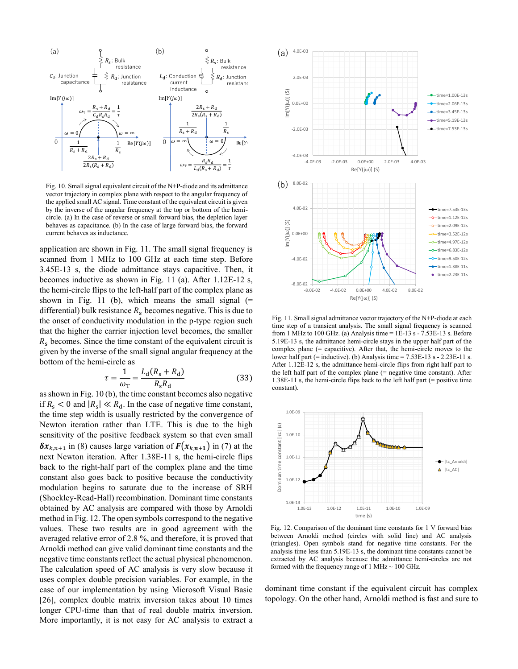

Fig. 10. Small signal equivalent circuit of the N+P-diode and its admittance vector trajectory in complex plane with respect to the angular frequency of the applied small AC signal. Time constant of the equivalent circuit is given by the inverse of the angular frequency at the top or bottom of the hemicircle. (a) In the case of reverse or small forward bias, the depletion layer behaves as capacitance. (b) In the case of large forward bias, the forward current behaves as inductance.

application are shown in Fig. 11. The small signal frequency is scanned from 1 MHz to 100 GHz at each time step. Before 3.45E-13 s, the diode admittance stays capacitive. Then, it becomes inductive as shown in Fig. 11 (a). After 1.12E-12 s, the hemi-circle flips to the left-half part of the complex plane as shown in Fig. 11 (b), which means the small signal  $(=$ differential) bulk resistance  $R_s$  becomes negative. This is due to the onset of conductivity modulation in the p-type region such that the higher the carrier injection level becomes, the smaller  $R<sub>s</sub>$  becomes. Since the time constant of the equivalent circuit is given by the inverse of the small signal angular frequency at the bottom of the hemi-circle as

$$
\tau = \frac{1}{\omega_{\rm T}} = \frac{L_{\rm d}(R_{\rm s} + R_{\rm d})}{R_{\rm s}R_{\rm d}}\tag{33}
$$

as shown in Fig. 10 (b), the time constant becomes also negative if  $R_s$  < 0 and  $|R_s| \ll R_d$ . In the case of negative time constant, the time step width is usually restricted by the convergence of Newton iteration rather than LTE. This is due to the high sensitivity of the positive feedback system so that even small  $\delta x_{k,n+1}$  in (8) causes large variation of  $F(x_{k,n+1})$  in (7) at the next Newton iteration. After 1.38E-11 s, the hemi-circle flips back to the right-half part of the complex plane and the time constant also goes back to positive because the conductivity modulation begins to saturate due to the increase of SRH (Shockley-Read-Hall) recombination. Dominant time constants obtained by AC analysis are compared with those by Arnoldi method in Fig. 12. The open symbols correspond to the negative values. These two results are in good agreement with the averaged relative error of 2.8 %, and therefore, it is proved that Arnoldi method can give valid dominant time constants and the negative time constants reflect the actual physical phenomenon. The calculation speed of AC analysis is very slow because it uses complex double precision variables. For example, in the case of our implementation by using Microsoft Visual Basic [26], complex double matrix inversion takes about 10 times longer CPU-time than that of real double matrix inversion. More importantly, it is not easy for AC analysis to extract a



Fig. 11. Small signal admittance vector trajectory of the N+P-diode at each time step of a transient analysis. The small signal frequency is scanned from 1 MHz to 100 GHz. (a) Analysis time =  $1E-13$  s - 7.53E-13 s. Before 5.19E-13 s, the admittance hemi-circle stays in the upper half part of the complex plane (= capacitive). After that, the hemi-circle moves to the lower half part (= inductive). (b) Analysis time =  $7.53E-13$  s -  $2.23E-11$  s. After 1.12E-12 s, the admittance hemi-circle flips from right half part to the left half part of the complex plane (= negative time constant). After 1.38E-11 s, the hemi-circle flips back to the left half part (= positive time constant).



Fig. 12. Comparison of the dominant time constants for 1 V forward bias between Arnoldi method (circles with solid line) and AC analysis (triangles). Open symbols stand for negative time constants. For the analysis time less than 5.19E-13 s, the dominant time constants cannot be extracted by AC analysis because the admittance hemi-circles are not formed with the frequency range of  $1$  MHz  $\sim$  100 GHz.

dominant time constant if the equivalent circuit has complex topology. On the other hand, Arnoldi method is fast and sure to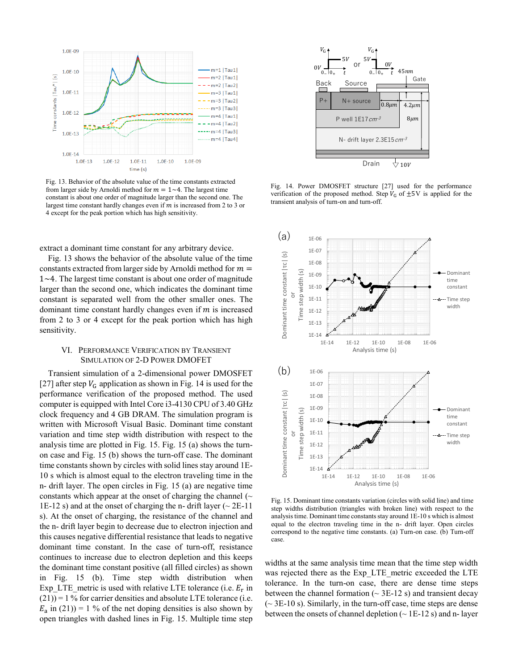

Fig. 13. Behavior of the absolute value of the time constants extracted from larger side by Arnoldi method for  $m = 1 \sim 4$ . The largest time constant is about one order of magnitude larger than the second one. The largest time constant hardly changes even if  $m$  is increased from 2 to 3 or 4 except for the peak portion which has high sensitivity.

extract a dominant time constant for any arbitrary device.

Fig. 13 shows the behavior of the absolute value of the time constants extracted from larger side by Arnoldi method for  $m =$ 1~4. The largest time constant is about one order of magnitude larger than the second one, which indicates the dominant time constant is separated well from the other smaller ones. The dominant time constant hardly changes even if  $m$  is increased from 2 to 3 or 4 except for the peak portion which has high sensitivity.

# VI. PERFORMANCE VERIFICATION BY TRANSIENT SIMULATION OF 2-D POWER DMOFET

Transient simulation of a 2-dimensional power DMOSFET [27] after step  $V_G$  application as shown in Fig. 14 is used for the performance verification of the proposed method. The used computer is equipped with Intel Core i3-4130 CPU of 3.40 GHz clock frequency and 4 GB DRAM. The simulation program is written with Microsoft Visual Basic. Dominant time constant variation and time step width distribution with respect to the analysis time are plotted in Fig. 15. Fig. 15 (a) shows the turnon case and Fig. 15 (b) shows the turn-off case. The dominant time constants shown by circles with solid lines stay around 1E-10 s which is almost equal to the electron traveling time in the n- drift layer. The open circles in Fig. 15 (a) are negative time constants which appear at the onset of charging the channel  $(\sim$ 1E-12 s) and at the onset of charging the n- drift layer ( $\sim$  2E-11 s). At the onset of charging, the resistance of the channel and the n- drift layer begin to decrease due to electron injection and this causes negative differential resistance that leads to negative dominant time constant. In the case of turn-off, resistance continues to increase due to electron depletion and this keeps the dominant time constant positive (all filled circles) as shown in Fig. 15 (b). Time step width distribution when  $Exp$ <sub>LTE</sub> metric is used with relative LTE tolerance (i.e.  $E_r$  in  $(21)$ ) = 1 % for carrier densities and absolute LTE tolerance (i.e.  $E_a$  in (21)) = 1 % of the net doping densities is also shown by open triangles with dashed lines in Fig. 15. Multiple time step



Fig. 14. Power DMOSFET structure [27] used for the performance verification of the proposed method. Step  $V_G$  of  $\pm$ 5V is applied for the transient analysis of turn-on and turn-off.



Fig. 15. Dominant time constants variation (circles with solid line) and time step widths distribution (triangles with broken line) with respect to the analysis time. Dominant time constants stay around 1E-10 s which is almost equal to the electron traveling time in the n- drift layer. Open circles correspond to the negative time constants. (a) Turn-on case. (b) Turn-off case.

widths at the same analysis time mean that the time step width was rejected there as the Exp\_LTE\_metric exceeded the LTE tolerance. In the turn-on case, there are dense time steps between the channel formation ( $\sim$  3E-12 s) and transient decay  $\sim$  3E-10 s). Similarly, in the turn-off case, time steps are dense between the onsets of channel depletion ( $\sim$  1E-12 s) and n- layer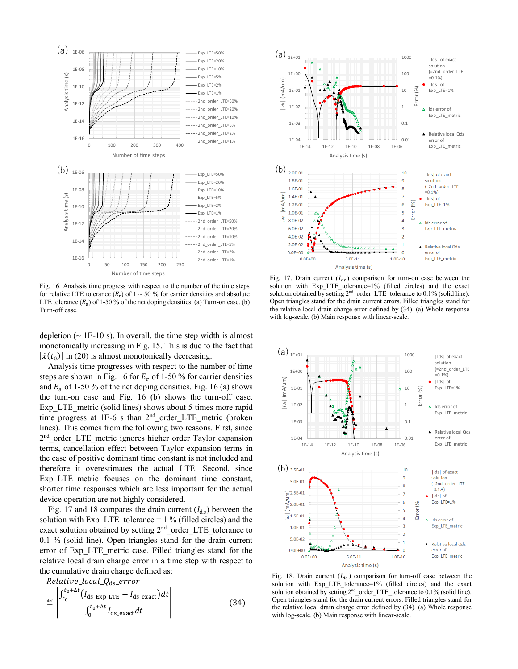

Fig. 16. Analysis time progress with respect to the number of the time steps for relative LTE tolerance  $(E_r)$  of  $1 \sim 50$  % for carrier densities and absolute LTE tolerance  $(E_a)$  of 1-50 % of the net doping densities. (a) Turn-on case. (b) Turn-off case.

depletion ( $\sim$  1E-10 s). In overall, the time step width is almost monotonically increasing in Fig. 15. This is due to the fact that  $|\dot{x}(t_0)|$  in (20) is almost monotonically decreasing.

Analysis time progresses with respect to the number of time steps are shown in Fig. 16 for  $E_r$  of 1-50 % for carrier densities and  $E_a$  of 1-50 % of the net doping densities. Fig. 16 (a) shows the turn-on case and Fig. 16 (b) shows the turn-off case. Exp\_LTE\_metric (solid lines) shows about 5 times more rapid time progress at 1E-6 s than  $2<sup>nd</sup>$  order LTE metric (broken lines). This comes from the following two reasons. First, since 2<sup>nd</sup> order LTE metric ignores higher order Taylor expansion terms, cancellation effect between Taylor expansion terms in the case of positive dominant time constant is not included and therefore it overestimates the actual LTE. Second, since Exp LTE metric focuses on the dominant time constant, shorter time responses which are less important for the actual device operation are not highly considered.

Fig. 17 and 18 compares the drain current  $(I_{ds})$  between the solution with Exp\_LTE\_tolerance = 1 % (filled circles) and the exact solution obtained by setting 2<sup>nd</sup> order LTE tolerance to 0.1 % (solid line). Open triangles stand for the drain current error of Exp\_LTE\_metric case. Filled triangles stand for the relative local drain charge error in a time step with respect to the cumulative drain charge defined as:

 $Relative\_local\_Q_{ds\_error}$ 

$$
\stackrel{\text{def}}{=} \frac{\left| \int_{t_0}^{t_0 + \Delta t} (I_{\text{ds\_Exp\_LTE}} - I_{\text{ds\_exact}}) dt \right|}{\int_0^{t_0 + \Delta t} I_{\text{ds\_exact}} dt} \tag{34}
$$



Fig. 17. Drain current  $(I_{ds})$  comparison for turn-on case between the solution with Exp LTE tolerance=1% (filled circles) and the exact solution obtained by setting  $2^{nd}$  order LTE\_tolerance to 0.1% (solid line). Open triangles stand for the drain current errors. Filled triangles stand for the relative local drain charge error defined by (34). (a) Whole response with log-scale. (b) Main response with linear-scale.



Fig. 18. Drain current  $(I_{ds})$  comparison for turn-off case between the solution with Exp LTE tolerance=1% (filled circles) and the exact solution obtained by setting  $2<sup>nd</sup>$  order LTE tolerance to 0.1% (solid line). Open triangles stand for the drain current errors. Filled triangles stand for the relative local drain charge error defined by (34). (a) Whole response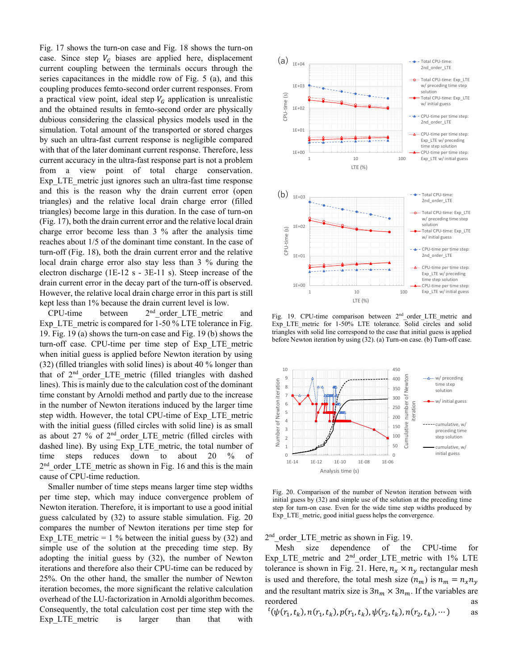Fig. 17 shows the turn-on case and Fig. 18 shows the turn-on case. Since step  $V_G$  biases are applied here, displacement current coupling between the terminals occurs through the series capacitances in the middle row of Fig. 5 (a), and this coupling produces femto-second order current responses. From a practical view point, ideal step  $V_c$  application is unrealistic and the obtained results in femto-second order are physically dubious considering the classical physics models used in the simulation. Total amount of the transported or stored charges by such an ultra-fast current response is negligible compared with that of the later dominant current response. Therefore, less current accuracy in the ultra-fast response part is not a problem from a view point of total charge conservation. Exp\_LTE\_metric just ignores such an ultra-fast time response and this is the reason why the drain current error (open triangles) and the relative local drain charge error (filled triangles) become large in this duration. In the case of turn-on (Fig. 17), both the drain current error and the relative local drain charge error become less than 3 % after the analysis time reaches about 1/5 of the dominant time constant. In the case of turn-off (Fig. 18), both the drain current error and the relative local drain charge error also stay less than 3 % during the electron discharge (1E-12 s - 3E-11 s). Steep increase of the drain current error in the decay part of the turn-off is observed. However, the relative local drain charge error in this part is still kept less than 1% because the drain current level is low.

CPU-time between  $2<sup>nd</sup>$  order LTE metric and Exp\_LTE\_metric is compared for 1-50 % LTE tolerance in Fig. 19. Fig. 19 (a) shows the turn-on case and Fig. 19 (b) shows the turn-off case. CPU-time per time step of Exp\_LTE\_metric when initial guess is applied before Newton iteration by using (32) (filled triangles with solid lines) is about 40 % longer than that of 2<sup>nd</sup> order LTE metric (filled triangles with dashed lines). This is mainly due to the calculation cost of the dominant time constant by Arnoldi method and partly due to the increase in the number of Newton iterations induced by the larger time step width. However, the total CPU-time of Exp\_LTE\_metric with the initial guess (filled circles with solid line) is as small as about 27 % of 2<sup>nd</sup> order LTE metric (filled circles with dashed line). By using Exp\_LTE\_metric, the total number of time steps reduces down to about 20 % of 2<sup>nd</sup> order LTE metric as shown in Fig. 16 and this is the main cause of CPU-time reduction.

Smaller number of time steps means larger time step widths per time step, which may induce convergence problem of Newton iteration. Therefore, it is important to use a good initial guess calculated by (32) to assure stable simulation. Fig. 20 compares the number of Newton iterations per time step for Exp\_LTE\_metric = 1 % between the initial guess by (32) and simple use of the solution at the preceding time step. By adopting the initial guess by (32), the number of Newton iterations and therefore also their CPU-time can be reduced by 25%. On the other hand, the smaller the number of Newton iteration becomes, the more significant the relative calculation overhead of the LU-factorization in Arnoldi algorithm becomes. Consequently, the total calculation cost per time step with the Exp LTE metric is larger than that with



Fig. 19. CPU-time comparison between 2<sup>nd</sup> order LTE metric and Exp\_LTE\_metric for 1-50% LTE\_tolerance. Solid circles and solid triangles with solid line correspond to the case that initial guess is applied before Newton iteration by using (32). (a) Turn-on case. (b) Turn-off case.



Fig. 20. Comparison of the number of Newton iteration between with initial guess by (32) and simple use of the solution at the preceding time step for turn-on case. Even for the wide time step widths produced by Exp\_LTE\_metric, good initial guess helps the convergence.

2<sup>nd</sup> order LTE metric as shown in Fig. 19.

Mesh size dependence of the CPU-time for Exp LTE metric and  $2<sup>nd</sup>$  order LTE metric with 1% LTE tolerance is shown in Fig. 21. Here,  $n_x \times n_y$  rectangular mesh is used and therefore, the total mesh size  $(n_m)$  is  $n_m = n_x n_y$ and the resultant matrix size is  $3n_m \times 3n_m$ . If the variables are reordered as a set of the set of the set of the set of the set of the set of the set of the set of the set of the set of the set of the set of the set of the set of the set of the set of the set of the set of the set of th

$$
{}^{t}(\psi(r_1, t_k), n(r_1, t_k), p(r_1, t_k), \psi(r_2, t_k), n(r_2, t_k), \cdots)
$$
 as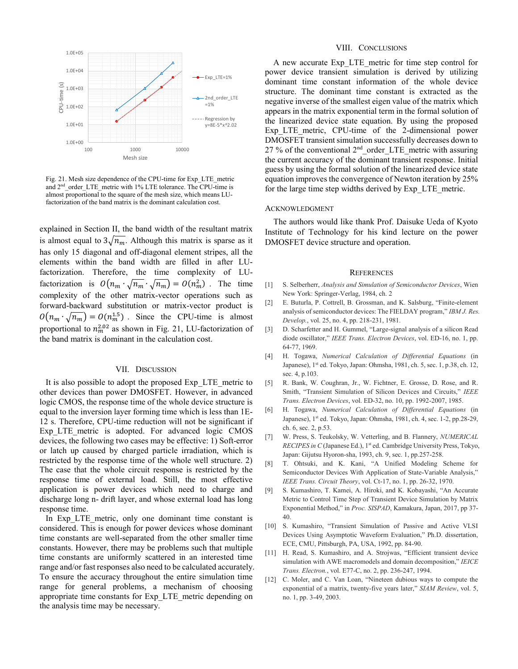

Fig. 21. Mesh size dependence of the CPU-time for Exp\_LTE\_metric and  $2<sup>nd</sup>$  order LTE metric with 1% LTE tolerance. The CPU-time is almost proportional to the square of the mesh size, which means LUfactorization of the band matrix is the dominant calculation cost.

explained in Section II, the band width of the resultant matrix is almost equal to  $3\sqrt{n_m}$ . Although this matrix is sparse as it has only 15 diagonal and off-diagonal element stripes, all the elements within the band width are filled in after LUfactorization. Therefore, the time complexity of LUfactorization is  $O(n_m \cdot \sqrt{n_m} \cdot \sqrt{n_m}) = O(n_m^2)$ . The time complexity of the other matrix-vector operations such as forward-backward substitution or matrix-vector product is  $O(n_m \cdot \sqrt{n_m}) = O(n_m^{1.5})$ . Since the CPU-time is almost proportional to  $n_m^{2.02}$  as shown in Fig. 21, LU-factorization of the band matrix is dominant in the calculation cost.

## VII. DISCUSSION

It is also possible to adopt the proposed Exp\_LTE\_metric to other devices than power DMOSFET. However, in advanced logic CMOS, the response time of the whole device structure is equal to the inversion layer forming time which is less than 1E-12 s. Therefore, CPU-time reduction will not be significant if Exp\_LTE\_metric is adopted. For advanced logic CMOS devices, the following two cases may be effective: 1) Soft-error or latch up caused by charged particle irradiation, which is restricted by the response time of the whole well structure. 2) The case that the whole circuit response is restricted by the response time of external load. Still, the most effective application is power devices which need to charge and discharge long n- drift layer, and whose external load has long response time.

In Exp LTE metric, only one dominant time constant is considered. This is enough for power devices whose dominant time constants are well-separated from the other smaller time constants. However, there may be problems such that multiple time constants are uniformly scattered in an interested time range and/or fast responses also need to be calculated accurately. To ensure the accuracy throughout the entire simulation time range for general problems, a mechanism of choosing appropriate time constants for Exp\_LTE\_metric depending on the analysis time may be necessary.

# VIII. CONCLUSIONS

A new accurate Exp\_LTE\_metric for time step control for power device transient simulation is derived by utilizing dominant time constant information of the whole device structure. The dominant time constant is extracted as the negative inverse of the smallest eigen value of the matrix which appears in the matrix exponential term in the formal solution of the linearized device state equation. By using the proposed Exp LTE metric, CPU-time of the 2-dimensional power DMOSFET transient simulation successfully decreases down to 27 % of the conventional  $2<sup>nd</sup>$  order LTE metric with assuring the current accuracy of the dominant transient response. Initial guess by using the formal solution of the linearized device state equation improves the convergence of Newton iteration by 25% for the large time step widths derived by Exp\_LTE\_metric.

## ACKNOWLEDGMENT

The authors would like thank Prof. Daisuke Ueda of Kyoto Institute of Technology for his kind lecture on the power DMOSFET device structure and operation.

#### **REFERENCES**

- [1] S. Selberherr, *Analysis and Simulation of Semiconductor Devices*, Wien New York: Springer-Verlag, 1984, ch. 2
- [2] E. Buturla, P. Cottrell, B. Grossman, and K. Salsburg, "Finite-element analysis of semiconductor devices: The FIELDAY program," *IBM J. Res. Develop.*, vol. 25, no. 4, pp. 218-231, 1981.
- [3] D. Scharfetter and H. Gummel, "Large-signal analysis of a silicon Read diode oscillator," *IEEE Trans. Electron Devices*, vol. ED-16, no. 1, pp. 64-77, 1969.
- [4] H. Togawa, *Numerical Calculation of Differential Equations* (in Japanese), 1st ed. Tokyo, Japan: Ohmsha, 1981, ch. 5, sec. 1, p.38, ch. 12, sec. 4, p.103.
- [5] R. Bank, W. Coughran, Jr., W. Fichtner, E. Grosse, D. Rose, and R. Smith, "Transient Simulation of Silicon Devices and Circuits," *IEEE Trans. Electron Devices*, vol. ED-32, no. 10, pp. 1992-2007, 1985.
- [6] H. Togawa, *Numerical Calculation of Differential Equations* (in Japanese), 1st ed. Tokyo, Japan: Ohmsha, 1981, ch. 4, sec. 1-2, pp.28-29, ch. 6, sec. 2, p.53.
- [7] W. Press, S. Teukolsky, W. Vetterling, and B. Flannery, *NUMERICAL RECIPES in C* (Japanese Ed.), 1<sup>st</sup> ed. Cambridge University Press, Tokyo, Japan: Gijutsu Hyoron-sha, 1993, ch. 9, sec. 1, pp.257-258.
- [8] T. Ohtsuki, and K. Kani, "A Unified Modeling Scheme for Semiconductor Devices With Application of State-Variable Analysis," *IEEE Trans. Circuit Theory*, vol. Ct-17, no. 1, pp. 26-32, 1970.
- [9] S. Kumashiro, T. Kamei, A. Hiroki, and K. Kobayashi, "An Accurate Metric to Control Time Step of Transient Device Simulation by Matrix Exponential Method," in *Proc. SISPAD*, Kamakura, Japan, 2017, pp 37- 40.
- [10] S. Kumashiro, "Transient Simulation of Passive and Active VLSI Devices Using Asymptotic Waveform Evaluation," Ph.D. dissertation, ECE, CMU, Pittsburgh, PA, USA, 1992, pp. 84-90.
- [11] H. Read, S. Kumashiro, and A. Strojwas, "Efficient transient device simulation with AWE macromodels and domain decomposition," *IEICE Trans. Electron.*, vol. E77-C, no. 2, pp. 236-247, 1994.
- [12] C. Moler, and C. Van Loan, "Nineteen dubious ways to compute the exponential of a matrix, twenty-five years later," *SIAM Review*, vol. 5, no. 1, pp. 3-49, 2003.